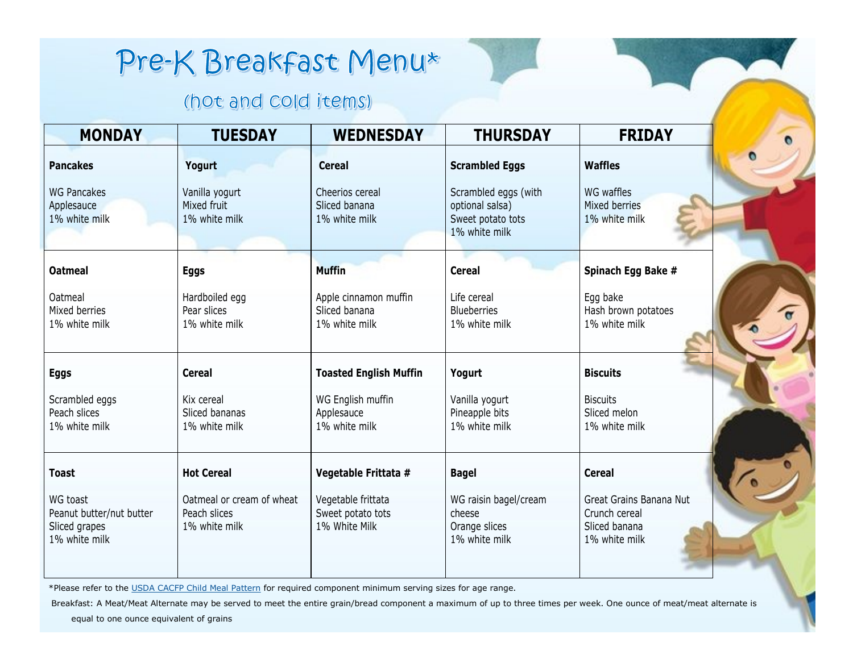## Pre-K Breakfast Menu\*

## (hot and cold items)

| <b>MONDAY</b>                                                          | <b>TUESDAY</b>                                             | <b>WEDNESDAY</b>                                         | <b>THURSDAY</b>                                                               | <b>FRIDAY</b>                                                              |
|------------------------------------------------------------------------|------------------------------------------------------------|----------------------------------------------------------|-------------------------------------------------------------------------------|----------------------------------------------------------------------------|
| <b>Pancakes</b>                                                        | Yogurt                                                     | <b>Cereal</b>                                            | <b>Scrambled Eggs</b>                                                         | <b>Waffles</b>                                                             |
| <b>WG Pancakes</b><br>Applesauce<br>1% white milk                      | Vanilla yogurt<br>Mixed fruit<br>1% white milk             | Cheerios cereal<br>Sliced banana<br>1% white milk        | Scrambled eggs (with<br>optional salsa)<br>Sweet potato tots<br>1% white milk | WG waffles<br>Mixed berries<br>1% white milk                               |
| <b>Oatmeal</b>                                                         | <b>Eggs</b>                                                | <b>Muffin</b>                                            | <b>Cereal</b>                                                                 | Spinach Egg Bake #                                                         |
| <b>Oatmeal</b><br>Mixed berries<br>1% white milk                       | Hardboiled egg<br>Pear slices<br>1% white milk             | Apple cinnamon muffin<br>Sliced banana<br>1% white milk  | Life cereal<br><b>Blueberries</b><br>1% white milk                            | Egg bake<br>Hash brown potatoes<br>1% white milk                           |
| <b>Eggs</b>                                                            | <b>Cereal</b>                                              | <b>Toasted English Muffin</b>                            | Yogurt                                                                        | <b>Biscuits</b>                                                            |
| Scrambled eggs<br>Peach slices<br>1% white milk                        | Kix cereal<br>Sliced bananas<br>1% white milk              | WG English muffin<br>Applesauce<br>1% white milk         | Vanilla yogurt<br>Pineapple bits<br>1% white milk                             | <b>Biscuits</b><br>Sliced melon<br>1% white milk                           |
| <b>Toast</b>                                                           | <b>Hot Cereal</b>                                          | Vegetable Frittata #                                     | <b>Bagel</b>                                                                  | <b>Cereal</b>                                                              |
| WG toast<br>Peanut butter/nut butter<br>Sliced grapes<br>1% white milk | Oatmeal or cream of wheat<br>Peach slices<br>1% white milk | Vegetable frittata<br>Sweet potato tots<br>1% White Milk | WG raisin bagel/cream<br>cheese<br>Orange slices<br>1% white milk             | Great Grains Banana Nut<br>Crunch cereal<br>Sliced banana<br>1% white milk |

\*Please refer to the [USDA CACFP Child Meal Pattern](https://www.fns.usda.gov/cacfp/meals-and-snacks) for required component minimum serving sizes for age range.

Breakfast: A Meat/Meat Alternate may be served to meet the entire grain/bread component a maximum of up to three times per week. One ounce of meat/meat alternate is

equal to one ounce equivalent of grains